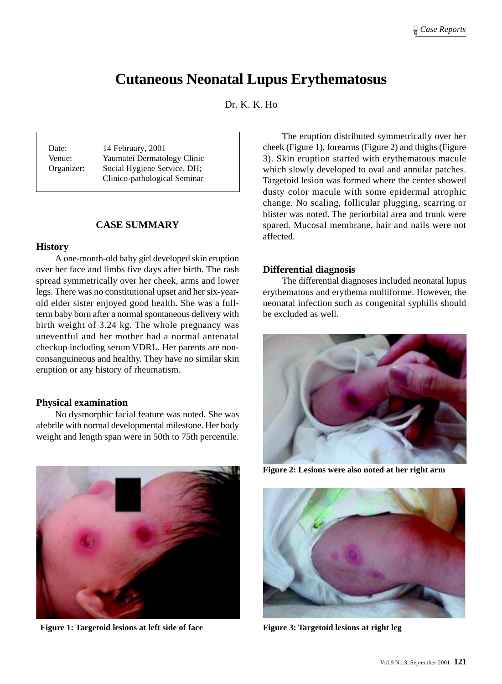# **Cutaneous Neonatal Lupus Erythematosus**

Dr. K. K. Ho

Date: 14 February, 2001 Venue: Yaumatei Dermatology Clinic Organizer: Social Hygiene Service, DH; Clinico-pathological Seminar

## **CASE SUMMARY**

## **History**

A one-month-old baby girl developed skin eruption over her face and limbs five days after birth. The rash spread symmetrically over her cheek, arms and lower legs. There was no constitutional upset and her six-yearold elder sister enjoyed good health. She was a fullterm baby born after a normal spontaneous delivery with birth weight of 3.24 kg. The whole pregnancy was uneventful and her mother had a normal antenatal checkup including serum VDRL. Her parents are nonconsanguineous and healthy. They have no similar skin eruption or any history of rheumatism.

## **Physical examination**

No dysmorphic facial feature was noted. She was afebrile with normal developmental milestone. Her body weight and length span were in 50th to 75th percentile.



Figure 1: Targetoid lesions at left side of face Figure 3: Targetoid lesions at right leg

The eruption distributed symmetrically over her cheek (Figure 1), forearms (Figure 2) and thighs (Figure 3). Skin eruption started with erythematous macule which slowly developed to oval and annular patches. Targetoid lesion was formed where the center showed dusty color macule with some epidermal atrophic change. No scaling, follicular plugging, scarring or blister was noted. The periorbital area and trunk were spared. Mucosal membrane, hair and nails were not affected.

## **Differential diagnosis**

The differential diagnoses included neonatal lupus erythematous and erythema multiforme. However, the neonatal infection such as congenital syphilis should be excluded as well.



**Figure 2: Lesions were also noted at her right arm**

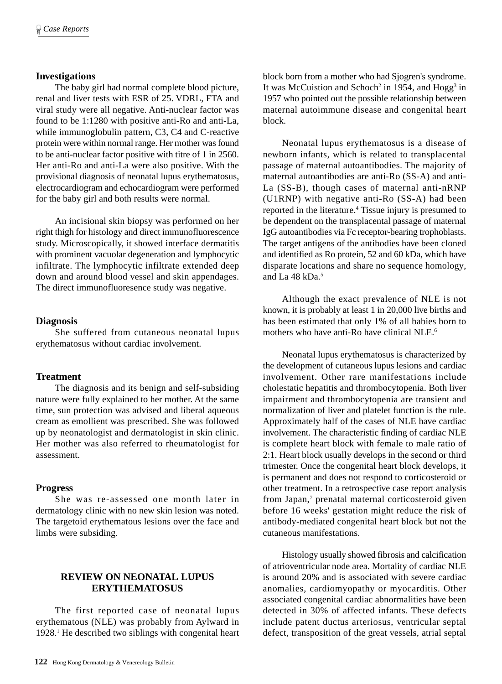#### **Investigations**

The baby girl had normal complete blood picture, renal and liver tests with ESR of 25. VDRL, FTA and viral study were all negative. Anti-nuclear factor was found to be 1:1280 with positive anti-Ro and anti-La, while immunoglobulin pattern, C3, C4 and C-reactive protein were within normal range. Her mother was found to be anti-nuclear factor positive with titre of 1 in 2560. Her anti-Ro and anti-La were also positive. With the provisional diagnosis of neonatal lupus erythematosus, electrocardiogram and echocardiogram were performed for the baby girl and both results were normal.

An incisional skin biopsy was performed on her right thigh for histology and direct immunofluorescence study. Microscopically, it showed interface dermatitis with prominent vacuolar degeneration and lymphocytic infiltrate. The lymphocytic infiltrate extended deep down and around blood vessel and skin appendages. The direct immunofluoresence study was negative.

#### **Diagnosis**

She suffered from cutaneous neonatal lupus erythematosus without cardiac involvement.

## **Treatment**

The diagnosis and its benign and self-subsiding nature were fully explained to her mother. At the same time, sun protection was advised and liberal aqueous cream as emollient was prescribed. She was followed up by neonatologist and dermatologist in skin clinic. Her mother was also referred to rheumatologist for assessment.

#### **Progress**

She was re-assessed one month later in dermatology clinic with no new skin lesion was noted. The targetoid erythematous lesions over the face and limbs were subsiding.

## **REVIEW ON NEONATAL LUPUS ERYTHEMATOSUS**

The first reported case of neonatal lupus erythematous (NLE) was probably from Aylward in 1928.1 He described two siblings with congenital heart

block born from a mother who had Sjogren's syndrome. It was McCuistion and Schoch<sup>2</sup> in 1954, and Hogg<sup>3</sup> in 1957 who pointed out the possible relationship between maternal autoimmune disease and congenital heart block.

Neonatal lupus erythematosus is a disease of newborn infants, which is related to transplacental passage of maternal autoantibodies. The majority of maternal autoantibodies are anti-Ro (SS-A) and anti-La (SS-B), though cases of maternal anti-nRNP (U1RNP) with negative anti-Ro (SS-A) had been reported in the literature.<sup>4</sup> Tissue injury is presumed to be dependent on the transplacental passage of maternal IgG autoantibodies via Fc receptor-bearing trophoblasts. The target antigens of the antibodies have been cloned and identified as Ro protein, 52 and 60 kDa, which have disparate locations and share no sequence homology, and La 48 kDa.5

Although the exact prevalence of NLE is not known, it is probably at least 1 in 20,000 live births and has been estimated that only 1% of all babies born to mothers who have anti-Ro have clinical NLE.6

Neonatal lupus erythematosus is characterized by the development of cutaneous lupus lesions and cardiac involvement. Other rare manifestations include cholestatic hepatitis and thrombocytopenia. Both liver impairment and thrombocytopenia are transient and normalization of liver and platelet function is the rule. Approximately half of the cases of NLE have cardiac involvement. The characteristic finding of cardiac NLE is complete heart block with female to male ratio of 2:1. Heart block usually develops in the second or third trimester. Once the congenital heart block develops, it is permanent and does not respond to corticosteroid or other treatment. In a retrospective case report analysis from Japan,<sup>7</sup> prenatal maternal corticosteroid given before 16 weeks' gestation might reduce the risk of antibody-mediated congenital heart block but not the cutaneous manifestations.

Histology usually showed fibrosis and calcification of atrioventricular node area. Mortality of cardiac NLE is around 20% and is associated with severe cardiac anomalies, cardiomyopathy or myocarditis. Other associated congenital cardiac abnormalities have been detected in 30% of affected infants. These defects include patent ductus arteriosus, ventricular septal defect, transposition of the great vessels, atrial septal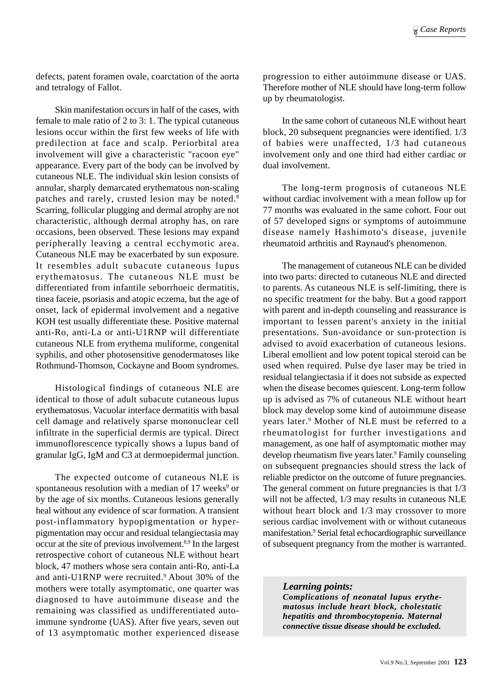defects, patent foramen ovale, coarctation of the aorta and tetralogy of Fallot.

Skin manifestation occurs in half of the cases, with female to male ratio of 2 to 3: 1. The typical cutaneous lesions occur within the first few weeks of life with predilection at face and scalp. Periorbital area involvement will give a characteristic "racoon eye" appearance. Every part of the body can be involved by cutaneous NLE. The individual skin lesion consists of annular, sharply demarcated erythematous non-scaling patches and rarely, crusted lesion may be noted.8 Scarring, follicular plugging and dermal atrophy are not characteristic, although dermal atrophy has, on rare occasions, been observed. These lesions may expand peripherally leaving a central ecchymotic area. Cutaneous NLE may be exacerbated by sun exposure. It resembles adult subacute cutaneous lupus erythematosus. The cutaneous NLE must be differentiated from infantile seborrhoeic dermatitis, tinea faceie, psoriasis and atopic eczema, but the age of onset, lack of epidermal involvement and a negative KOH test usually differentiate these. Positive maternal anti-Ro, anti-La or anti-U1RNP will differentiate cutaneous NLE from erythema muliforme, congenital syphilis, and other photosensitive genodermatoses like Rothmund-Thomson, Cockayne and Boom syndromes.

Histological findings of cutaneous NLE are identical to those of adult subacute cutaneous lupus erythematosus. Vacuolar interface dermatitis with basal cell damage and relatively sparse mononuclear cell infiltrate in the superficial dermis are typical. Direct immunoflorescence typically shows a lupus band of granular IgG, IgM and C3 at dermoepidermal junction.

The expected outcome of cutaneous NLE is spontaneous resolution with a median of 17 weeks<sup>9</sup> or by the age of six months. Cutaneous lesions generally heal without any evidence of scar formation. A transient post-inflammatory hypopigmentation or hyperpigmentation may occur and residual telangiectasia may occur at the site of previous involvement.8,9 In the largest retrospective cohort of cutaneous NLE without heart block, 47 mothers whose sera contain anti-Ro, anti-La and anti-U1RNP were recruited.<sup>9</sup> About 30% of the mothers were totally asymptomatic, one quarter was diagnosed to have autoimmune disease and the remaining was classified as undifferentiated autoimmune syndrome (UAS). After five years, seven out of 13 asymptomatic mother experienced disease

progression to either autoimmune disease or UAS. Therefore mother of NLE should have long-term follow up by rheumatologist.

In the same cohort of cutaneous NLE without heart block, 20 subsequent pregnancies were identified. 1/3 of babies were unaffected, 1/3 had cutaneous involvement only and one third had either cardiac or dual involvement.

The long-term prognosis of cutaneous NLE without cardiac involvement with a mean follow up for 77 months was evaluated in the same cohort. Four out of 57 developed signs or symptoms of autoimmune disease namely Hashimoto's disease, juvenile rheumatoid arthritis and Raynaud's phenomenon.

The management of cutaneous NLE can be divided into two parts: directed to cutaneous NLE and directed to parents. As cutaneous NLE is self-limiting, there is no specific treatment for the baby. But a good rapport with parent and in-depth counseling and reassurance is important to lessen parent's anxiety in the initial presentations. Sun-avoidance or sun-protection is advised to avoid exacerbation of cutaneous lesions. Liberal emollient and low potent topical steroid can be used when required. Pulse dye laser may be tried in residual telangiectasia if it does not subside as expected when the disease becomes quiescent. Long-term follow up is advised as 7% of cutaneous NLE without heart block may develop some kind of autoimmune disease years later.9 Mother of NLE must be referred to a rheumatologist for further investigations and management, as one half of asymptomatic mother may develop rheumatism five years later.<sup>9</sup> Family counseling on subsequent pregnancies should stress the lack of reliable predictor on the outcome of future pregnancies. The general comment on future pregnancies is that  $1/3$ will not be affected, 1/3 may results in cutaneous NLE without heart block and  $1/3$  may crossover to more serious cardiac involvement with or without cutaneous manifestation.<sup>9</sup> Serial fetal echocardiographic surveillance of subsequent pregnancy from the mother is warranted.

*Learning points: Complications of neonatal lupus erythematosus include heart block, cholestatic hepatitis and thrombocytopenia. Maternal connective tissue disease should be excluded.*